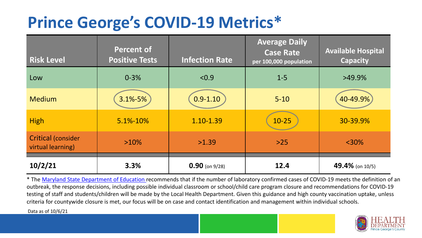## **Prince George's COVID-19 Metrics\***

| <b>Risk Level</b>                       | <b>Percent of</b><br><b>Positive Tests</b> | <b>Infection Rate</b> | <b>Average Daily</b><br><b>Case Rate</b><br>per 100,000 population | <b>Available Hospital</b><br><b>Capacity</b> |
|-----------------------------------------|--------------------------------------------|-----------------------|--------------------------------------------------------------------|----------------------------------------------|
| Low                                     | $0 - 3%$                                   | < 0.9                 | $1 - 5$                                                            | $>49.9\%$                                    |
| <b>Medium</b>                           | $3.1\% - 5\%$                              | $0.9 - 1.10$          | $5 - 10$                                                           | 40-49.9%                                     |
| <b>High</b>                             | 5.1%-10%                                   | 1.10-1.39             | $10 - 25$                                                          | 30-39.9%                                     |
| Critical (consider<br>virtual learning) | $>10\%$                                    | >1.39                 | $>25$                                                              | $<$ 30%                                      |
| 10/2/21                                 | 3.3%                                       | $0.90$ (on 9/28)      | 12.4                                                               | 49.4% (on 10/5)                              |

\* The [Maryland State Department of Education r](https://earlychildhood.marylandpublicschools.org/system/files/filedepot/3/covid_guidance_full_080420.pdf)ecommends that if the number of laboratory confirmed cases of COVID-19 meets the definition of an outbreak, the response decisions, including possible individual classroom or school/child care program closure and recommendations for COVID-19 testing of staff and students/children will be made by the Local Health Department. Given this guidance and high county vaccination uptake, unless criteria for countywide closure is met, our focus will be on case and contact identification and management within individual schools.

Data as of 10/6/21

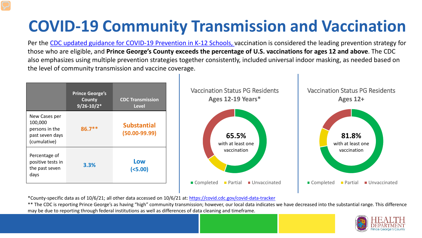# **COVID-19 Community Transmission and Vaccination**

Per the [CDC updated guidance for COVID-19 Prevention in K-12 Schools,](https://www.cdc.gov/coronavirus/2019-ncov/community/schools-childcare/k-12-guidance.html) vaccination is considered the leading prevention strategy for those who are eligible, and **Prince George's County exceeds the percentage of U.S. vaccinations for ages 12 and above**. The CDC also emphasizes using multiple prevention strategies together consistently, included universal indoor masking, as needed based on the level of community transmission and vaccine coverage.



\*County-specific data as of 10/6/21; all other data accessed on 10/6/21 at:<https://covid.cdc.gov/covid-data-tracker>

\*\* The CDC is reporting Prince George's as having "high" community transmission; however, our local data indicates we have decreased into the substantial range. This difference may be due to reporting through federal institutions as well as differences of data cleaning and timeframe.

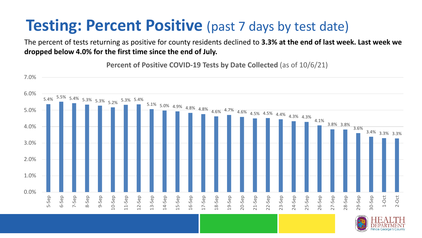### **Testing: Percent Positive** (past 7 days by test date)

The percent of tests returning as positive for county residents declined to **3.3% at the end of last week. Last week we dropped below 4.0% for the first time since the end of July.**

**Percent of Positive COVID-19 Tests by Date Collected** (as of 10/6/21)

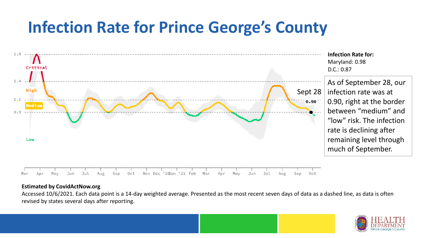### **Infection Rate for Prince George's County**



#### **Estimated by CovidActNow.org**

Accessed 10/6/2021. Each data point is a 14-day weighted average. Presented as the most recent seven days of data as a dashed line, as data is often revised by states several days after reporting.

![](_page_3_Picture_4.jpeg)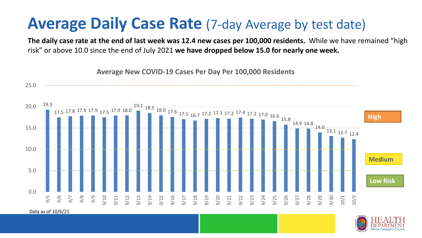#### **Average Daily Case Rate** (7-day Average by test date)

**The daily case rate at the end of last week was 12.4 new cases per 100,000 residents.** While we have remained "high risk" or above 10.0 since the end of July 2021 **we have dropped below 15.0 for nearly one week.** 

![](_page_4_Figure_2.jpeg)

**Average New COVID-19 Cases Per Day Per 100,000 Residents**

![](_page_4_Picture_4.jpeg)